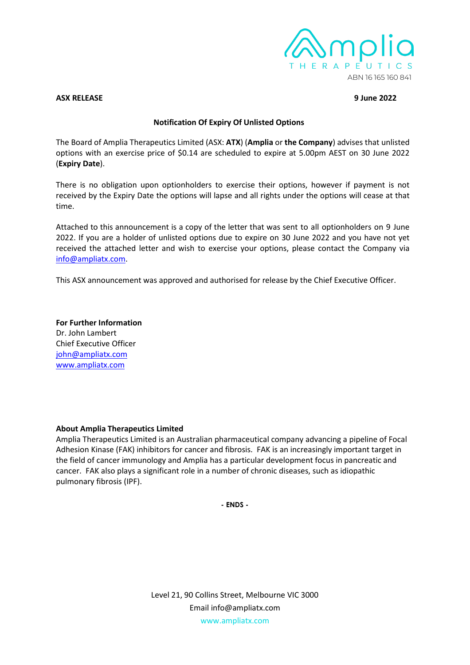

#### **ASX RELEASE 9 June 2022**

# **Notification Of Expiry Of Unlisted Options**

The Board of Amplia Therapeutics Limited (ASX: **ATX**) (**Amplia** or **the Company**) advises that unlisted options with an exercise price of \$0.14 are scheduled to expire at 5.00pm AEST on 30 June 2022 (**Expiry Date**).

There is no obligation upon optionholders to exercise their options, however if payment is not received by the Expiry Date the options will lapse and all rights under the options will cease at that time.

Attached to this announcement is a copy of the letter that was sent to all optionholders on 9 June 2022. If you are a holder of unlisted options due to expire on 30 June 2022 and you have not yet received the attached letter and wish to exercise your options, please contact the Company via [info@ampliatx.com.](mailto:info@ampliatx.com)

This ASX announcement was approved and authorised for release by the Chief Executive Officer.

**For Further Information** Dr. John Lambert Chief Executive Officer [john@ampliatx.com](mailto:john@ampliatx.com) [www.ampliatx.com](http://www.ampliatx.com/site/content/)

## **About Amplia Therapeutics Limited**

Amplia Therapeutics Limited is an Australian pharmaceutical company advancing a pipeline of Focal Adhesion Kinase (FAK) inhibitors for cancer and fibrosis. FAK is an increasingly important target in the field of cancer immunology and Amplia has a particular development focus in pancreatic and cancer. FAK also plays a significant role in a number of chronic diseases, such as idiopathic pulmonary fibrosis (IPF).

**- ENDS -**

Level 21, 90 Collins Street, Melbourne VIC 3000 Email info@ampliatx.com www.ampliatx.com